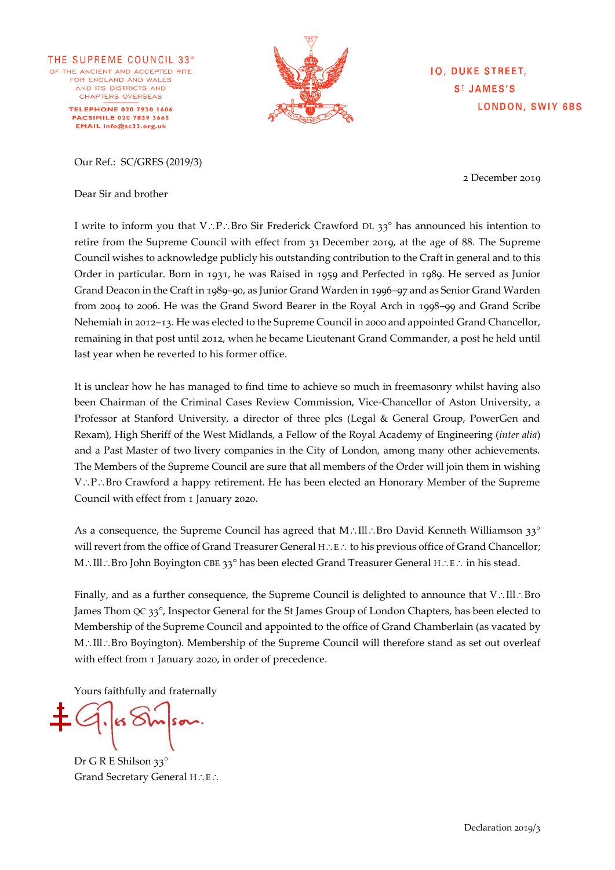THE SUPREME COUNCIL 33° OF THE ANCIENT AND ACCEPTED RITE FOR ENGLAND AND WALES AND ITS DISTRICTS AND CHAPTERS OVERSEAS **TELEPHONE 020 7930 1606 FACSIMILE 020 7839 3665** EMAIL info@sc33.org.uk

Our Ref.: SC/GRES (2019/3)

Dear Sir and brother

**IO, DUKE STREET, SI JAMES'S LONDON, SWIY 6BS** 

2 December 2019

I write to inform you that V: P: Bro Sir Frederick Crawford DL 33° has announced his intention to retire from the Supreme Council with effect from 31 December 2019, at the age of 88. The Supreme Council wishes to acknowledge publicly his outstanding contribution to the Craft in general and to this Order in particular. Born in 1931, he was Raised in 1959 and Perfected in 1989. He served as Junior Grand Deacon in the Craft in 1989–90, as Junior Grand Warden in 1996–97 and as Senior Grand Warden from 2004 to 2006. He was the Grand Sword Bearer in the Royal Arch in 1998–99 and Grand Scribe Nehemiah in 2012–13. He was elected to the Supreme Council in 2000 and appointed Grand Chancellor, remaining in that post until 2012, when he became Lieutenant Grand Commander, a post he held until last year when he reverted to his former office.

It is unclear how he has managed to find time to achieve so much in freemasonry whilst having also been Chairman of the Criminal Cases Review Commission, Vice-Chancellor of Aston University, a Professor at Stanford University, a director of three plcs (Legal & General Group, PowerGen and Rexam), High Sheriff of the West Midlands, a Fellow of the Royal Academy of Engineering (*inter alia*) and a Past Master of two livery companies in the City of London, among many other achievements. The Members of the Supreme Council are sure that all members of the Order will join them in wishing  $V.P.: Bro Crawford$  a happy retirement. He has been elected an Honorary Member of the Supreme Council with effect from 1 January 2020.

As a consequence, the Supreme Council has agreed that M.: Ill.: Bro David Kenneth Williamson 33° will revert from the office of Grand Treasurer General H.: E.: to his previous office of Grand Chancellor; M.: Ill.: Bro John Boyington CBE 33° has been elected Grand Treasurer General H $\therefore$  E $\therefore$  in his stead.

Finally, and as a further consequence, the Supreme Council is delighted to announce that  $V: \Pi \cap B$ ro James Thom QC 33°, Inspector General for the St James Group of London Chapters, has been elected to Membership of the Supreme Council and appointed to the office of Grand Chamberlain (as vacated by M.: Ill.: Bro Boyington). Membership of the Supreme Council will therefore stand as set out overleaf with effect from 1 January 2020, in order of precedence.

Yours faithfully and fraternally

Dr G R E Shilson 33° Grand Secretary General H.: E.: